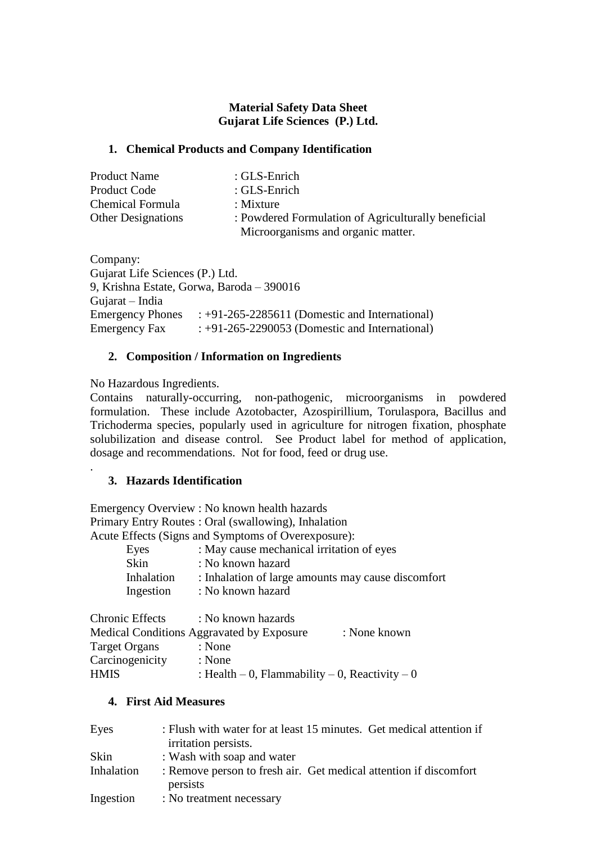# **Material Safety Data Sheet Gujarat Life Sciences (P.) Ltd.**

# **1. Chemical Products and Company Identification**

| <b>Product Name</b>       | : $GLS$ -Enrich                                     |  |
|---------------------------|-----------------------------------------------------|--|
| <b>Product Code</b>       | : GLS-Enrich                                        |  |
| Chemical Formula          | $:$ Mixture                                         |  |
| <b>Other Designations</b> | : Powdered Formulation of Agriculturally beneficial |  |
|                           | Microorganisms and organic matter.                  |  |

Company: Gujarat Life Sciences (P.) Ltd. 9, Krishna Estate, Gorwa, Baroda – 390016 Gujarat – India Emergency Phones : +91-265-2285611 (Domestic and International) Emergency Fax  $: +91-265-2290053$  (Domestic and International)

#### **2. Composition / Information on Ingredients**

No Hazardous Ingredients.

.

Contains naturally-occurring, non-pathogenic, microorganisms in powdered formulation. These include Azotobacter, Azospirillium, Torulaspora, Bacillus and Trichoderma species, popularly used in agriculture for nitrogen fixation, phosphate solubilization and disease control. See Product label for method of application, dosage and recommendations. Not for food, feed or drug use.

# **3. Hazards Identification**

Emergency Overview : No known health hazards Primary Entry Routes : Oral (swallowing), Inhalation Acute Effects (Signs and Symptoms of Overexposure):

| Eyes        | : May cause mechanical irritation of eyes          |
|-------------|----------------------------------------------------|
| <b>Skin</b> | : No known hazard                                  |
| Inhalation  | : Inhalation of large amounts may cause discomfort |
| Ingestion   | : No known hazard                                  |
|             |                                                    |

| <b>Chronic Effects</b> | : No known hazards                             |              |
|------------------------|------------------------------------------------|--------------|
|                        | Medical Conditions Aggravated by Exposure      | : None known |
| <b>Target Organs</b>   | : None                                         |              |
| Carcinogenicity        | : None                                         |              |
| <b>HMIS</b>            | : Health – 0, Flammability – 0, Reactivity – 0 |              |

## **4. First Aid Measures**

| Eyes       | : Flush with water for at least 15 minutes. Get medical attention if<br>irritation persists. |
|------------|----------------------------------------------------------------------------------------------|
| Skin       | : Wash with soap and water                                                                   |
| Inhalation | : Remove person to fresh air. Get medical attention if discomfort<br>persists                |
| Ingestion  | : No treatment necessary                                                                     |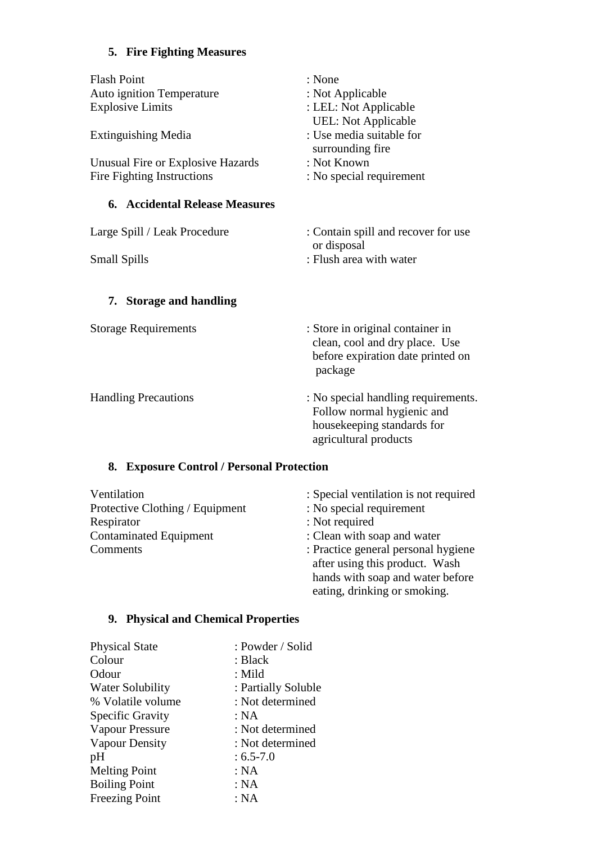# **5. Fire Fighting Measures**

| : None                              |
|-------------------------------------|
| : Not Applicable                    |
| : LEL: Not Applicable               |
| <b>UEL:</b> Not Applicable          |
| : Use media suitable for            |
| surrounding fire                    |
| : Not Known                         |
| : No special requirement            |
|                                     |
|                                     |
|                                     |
| : Contain spill and recover for use |
| or disposal                         |
| : Flush area with water             |
|                                     |
|                                     |
|                                     |
|                                     |
| : Store in original container in    |
| clean, cool and dry place. Use      |
| before expiration date printed on   |
| package                             |
|                                     |
| : No special handling requirements. |
| Follow normal hygienic and          |
| housekeeping standards for          |
|                                     |

# **8. Exposure Control / Personal Protection**

| Ventilation                     | : Special ventilation is not required                                 |
|---------------------------------|-----------------------------------------------------------------------|
| Protective Clothing / Equipment | : No special requirement                                              |
| Respirator                      | : Not required                                                        |
| <b>Contaminated Equipment</b>   | : Clean with soap and water                                           |
| Comments                        | : Practice general personal hygiene<br>after using this product. Wash |
|                                 | hands with soap and water before                                      |
|                                 | eating, drinking or smoking.                                          |

agricultural products

# **9. Physical and Chemical Properties**

| <b>Physical State</b>   | : Powder / Solid    |
|-------------------------|---------------------|
| Colour                  | : Black             |
| Odour                   | : Mild              |
| <b>Water Solubility</b> | : Partially Soluble |
| % Volatile volume       | : Not determined    |
| <b>Specific Gravity</b> | : NA                |
| <b>Vapour Pressure</b>  | : Not determined    |
| <b>Vapour Density</b>   | : Not determined    |
| pH                      | $: 6.5 - 7.0$       |
| <b>Melting Point</b>    | : NA                |
| <b>Boiling Point</b>    | : NA                |
| <b>Freezing Point</b>   | : NA                |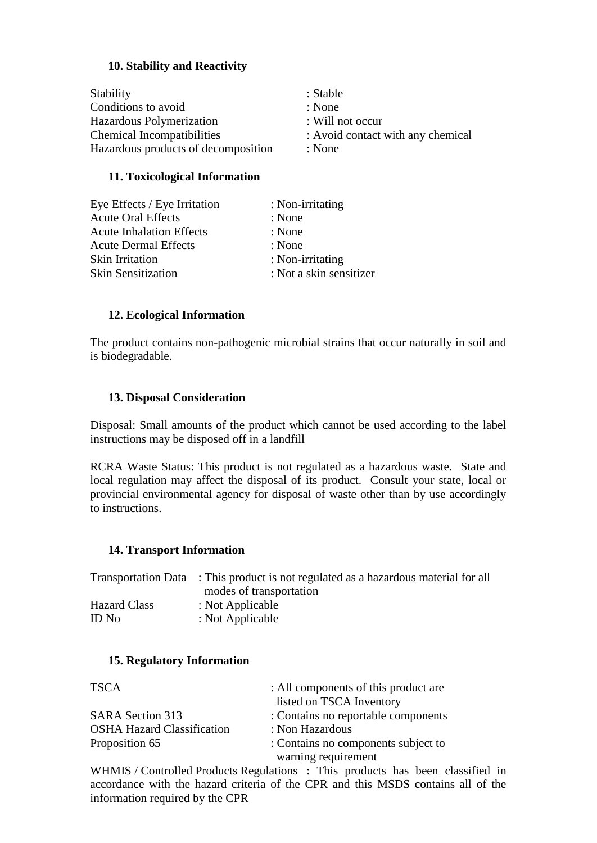# **10. Stability and Reactivity**

| <b>Stability</b>                    | : Stable                          |
|-------------------------------------|-----------------------------------|
| Conditions to avoid                 | : None                            |
| Hazardous Polymerization            | : Will not occur                  |
| <b>Chemical Incompatibilities</b>   | : Avoid contact with any chemical |
| Hazardous products of decomposition | : None                            |

### **11. Toxicological Information**

| : Not a skin sensitizer |
|-------------------------|
|                         |

#### **12. Ecological Information**

The product contains non-pathogenic microbial strains that occur naturally in soil and is biodegradable.

#### **13. Disposal Consideration**

Disposal: Small amounts of the product which cannot be used according to the label instructions may be disposed off in a landfill

RCRA Waste Status: This product is not regulated as a hazardous waste. State and local regulation may affect the disposal of its product. Consult your state, local or provincial environmental agency for disposal of waste other than by use accordingly to instructions.

#### **14. Transport Information**

| Transportation Data : This product is not regulated as a hazardous material for all |
|-------------------------------------------------------------------------------------|
| modes of transportation                                                             |
| : Not Applicable                                                                    |
| : Not Applicable                                                                    |
|                                                                                     |

#### **15. Regulatory Information**

| <b>TSCA</b>                       | : All components of this product are |
|-----------------------------------|--------------------------------------|
|                                   | listed on TSCA Inventory             |
| <b>SARA Section 313</b>           | : Contains no reportable components  |
| <b>OSHA Hazard Classification</b> | : Non Hazardous                      |
| Proposition 65                    | : Contains no components subject to  |
|                                   | warning requirement                  |

WHMIS / Controlled Products Regulations : This products has been classified in accordance with the hazard criteria of the CPR and this MSDS contains all of the information required by the CPR